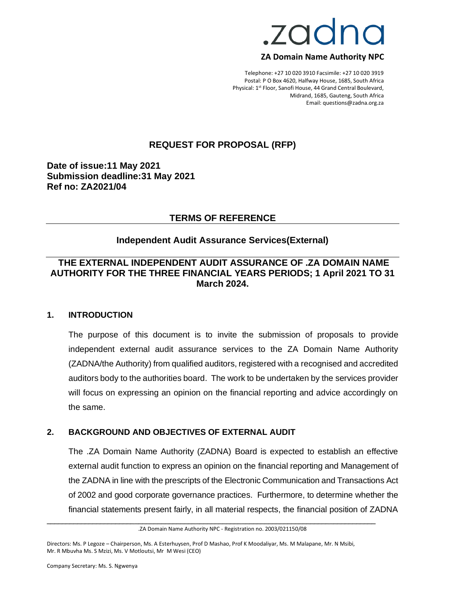

#### **ZA Domain Name Authority NPC**

Telephone: +27 10 020 3910 Facsimile: +27 10 020 3919 Postal: P O Box 4620, Halfway House, 1685, South Africa Physical: 1<sup>st</sup> Floor, Sanofi House, 44 Grand Central Boulevard, Midrand, 1685, Gauteng, South Africa Email: questions@zadna.org.za

## **REQUEST FOR PROPOSAL (RFP)**

**Date of issue:11 May 2021 Submission deadline:31 May 2021 Ref no: ZA2021/04**

#### **TERMS OF REFERENCE**

#### **Independent Audit Assurance Services(External)**

# **THE EXTERNAL INDEPENDENT AUDIT ASSURANCE OF .ZA DOMAIN NAME AUTHORITY FOR THE THREE FINANCIAL YEARS PERIODS; 1 April 2021 TO 31 March 2024.**

#### **1. INTRODUCTION**

The purpose of this document is to invite the submission of proposals to provide independent external audit assurance services to the ZA Domain Name Authority (ZADNA/the Authority) from qualified auditors, registered with a recognised and accredited auditors body to the authorities board. The work to be undertaken by the services provider will focus on expressing an opinion on the financial reporting and advice accordingly on the same.

#### **2. BACKGROUND AND OBJECTIVES OF EXTERNAL AUDIT**

The .ZA Domain Name Authority (ZADNA) Board is expected to establish an effective external audit function to express an opinion on the financial reporting and Management of the ZADNA in line with the prescripts of the Electronic Communication and Transactions Act of 2002 and good corporate governance practices. Furthermore, to determine whether the financial statements present fairly, in all material respects, the financial position of ZADNA

\_\_\_\_\_\_\_\_\_\_\_\_\_\_\_\_\_\_\_\_\_\_\_\_\_\_\_\_\_\_\_\_\_\_\_\_\_\_\_\_\_\_\_\_\_\_\_\_\_\_\_\_\_\_\_\_\_\_\_\_\_\_\_\_\_\_\_\_\_\_\_\_\_\_\_\_\_\_\_\_\_\_\_\_\_\_

<sup>.</sup>ZA Domain Name Authority NPC - Registration no. 2003/021150/08

Directors: Ms. P Legoze – Chairperson, Ms. A Esterhuysen, Prof D Mashao, Prof K Moodaliyar, Ms. M Malapane, Mr. N Msibi, Mr. R Mbuvha Ms. S Mzizi, Ms. V Motloutsi, Mr M Wesi (CEO)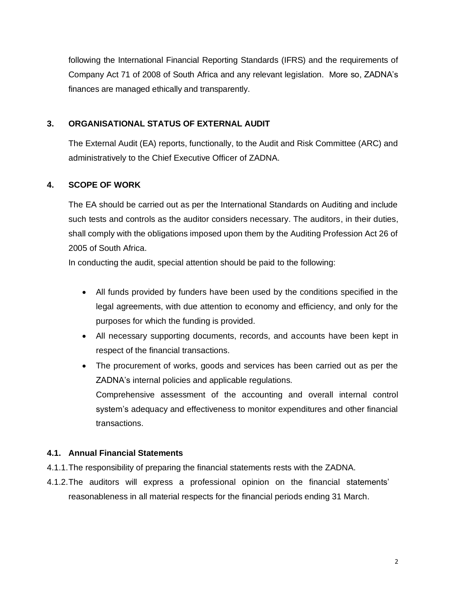following the International Financial Reporting Standards (IFRS) and the requirements of Company Act 71 of 2008 of South Africa and any relevant legislation. More so, ZADNA's finances are managed ethically and transparently.

# **3. ORGANISATIONAL STATUS OF EXTERNAL AUDIT**

The External Audit (EA) reports, functionally, to the Audit and Risk Committee (ARC) and administratively to the Chief Executive Officer of ZADNA.

# **4. SCOPE OF WORK**

The EA should be carried out as per the International Standards on Auditing and include such tests and controls as the auditor considers necessary. The auditors, in their duties, shall comply with the obligations imposed upon them by the Auditing Profession Act 26 of 2005 of South Africa.

In conducting the audit, special attention should be paid to the following:

- All funds provided by funders have been used by the conditions specified in the legal agreements, with due attention to economy and efficiency, and only for the purposes for which the funding is provided.
- All necessary supporting documents, records, and accounts have been kept in respect of the financial transactions.
- The procurement of works, goods and services has been carried out as per the ZADNA's internal policies and applicable regulations. Comprehensive assessment of the accounting and overall internal control system's adequacy and effectiveness to monitor expenditures and other financial transactions.

### **4.1. Annual Financial Statements**

- 4.1.1.The responsibility of preparing the financial statements rests with the ZADNA.
- 4.1.2.The auditors will express a professional opinion on the financial statements' reasonableness in all material respects for the financial periods ending 31 March.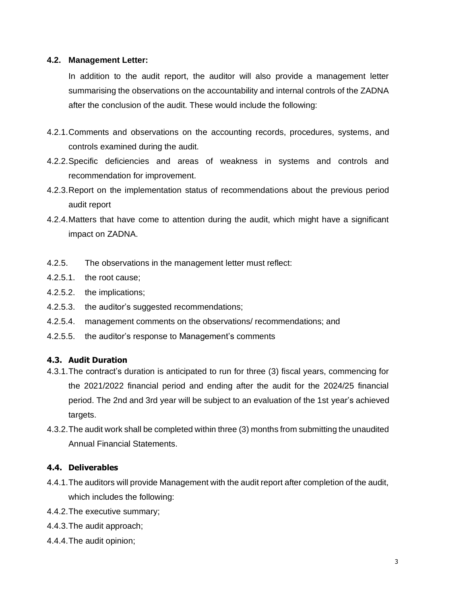#### **4.2. Management Letter:**

In addition to the audit report, the auditor will also provide a management letter summarising the observations on the accountability and internal controls of the ZADNA after the conclusion of the audit. These would include the following:

- 4.2.1.Comments and observations on the accounting records, procedures, systems, and controls examined during the audit.
- 4.2.2.Specific deficiencies and areas of weakness in systems and controls and recommendation for improvement.
- 4.2.3.Report on the implementation status of recommendations about the previous period audit report
- 4.2.4.Matters that have come to attention during the audit, which might have a significant impact on ZADNA.
- 4.2.5. The observations in the management letter must reflect:
- 4.2.5.1. the root cause;
- 4.2.5.2. the implications;
- 4.2.5.3. the auditor's suggested recommendations;
- 4.2.5.4. management comments on the observations/ recommendations; and
- 4.2.5.5. the auditor's response to Management's comments

## **4.3. Audit Duration**

- 4.3.1.The contract's duration is anticipated to run for three (3) fiscal years, commencing for the 2021/2022 financial period and ending after the audit for the 2024/25 financial period. The 2nd and 3rd year will be subject to an evaluation of the 1st year's achieved targets.
- 4.3.2.The audit work shall be completed within three (3) months from submitting the unaudited Annual Financial Statements.

#### **4.4. Deliverables**

- 4.4.1.The auditors will provide Management with the audit report after completion of the audit, which includes the following:
- 4.4.2.The executive summary;
- 4.4.3.The audit approach;
- 4.4.4.The audit opinion;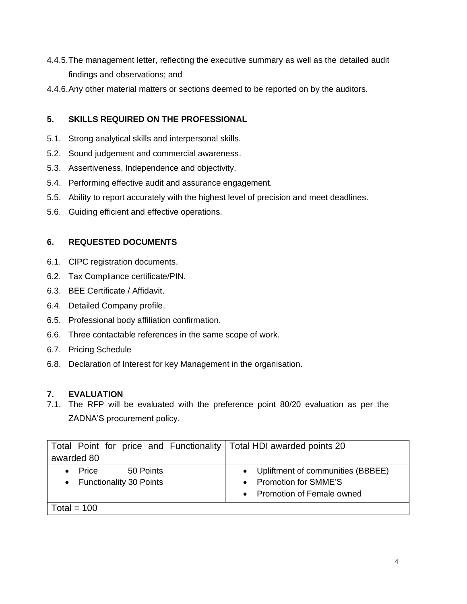- 4.4.5.The management letter, reflecting the executive summary as well as the detailed audit findings and observations; and
- 4.4.6.Any other material matters or sections deemed to be reported on by the auditors.

# **5. SKILLS REQUIRED ON THE PROFESSIONAL**

- 5.1. Strong analytical skills and interpersonal skills.
- 5.2. Sound judgement and commercial awareness.
- 5.3. Assertiveness, Independence and objectivity.
- 5.4. Performing effective audit and assurance engagement.
- 5.5. Ability to report accurately with the highest level of precision and meet deadlines.
- 5.6. Guiding efficient and effective operations.

# **6. REQUESTED DOCUMENTS**

- 6.1. CIPC registration documents.
- 6.2. Tax Compliance certificate/PIN.
- 6.3. BEE Certificate / Affidavit.
- 6.4. Detailed Company profile.
- 6.5. Professional body affiliation confirmation.
- 6.6. Three contactable references in the same scope of work.
- 6.7. Pricing Schedule
- 6.8. Declaration of Interest for key Management in the organisation.

# **7. EVALUATION**

7.1. The RFP will be evaluated with the preference point 80/20 evaluation as per the ZADNA'S procurement policy.

| Total Point for price and Functionality   Total HDI awarded points 20 |                                     |
|-----------------------------------------------------------------------|-------------------------------------|
| awarded 80                                                            |                                     |
| 50 Points<br>Price                                                    | • Upliftment of communities (BBBEE) |
| • Functionality 30 Points                                             | <b>Promotion for SMME'S</b>         |
|                                                                       | • Promotion of Female owned         |
| Total = $100$                                                         |                                     |